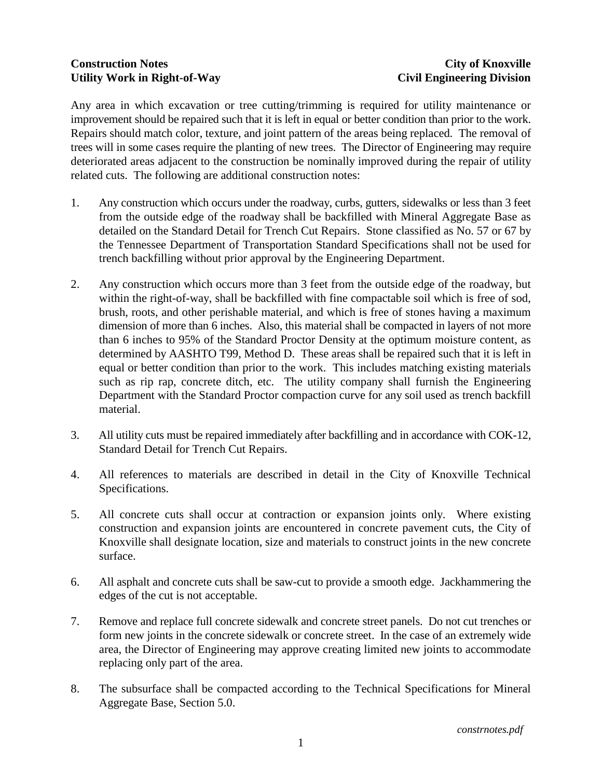## **Construction Notes City of Knoxville Utility Work in Right-of-Way Civil Engineering Division**

Any area in which excavation or tree cutting/trimming is required for utility maintenance or improvement should be repaired such that it is left in equal or better condition than prior to the work. Repairs should match color, texture, and joint pattern of the areas being replaced. The removal of trees will in some cases require the planting of new trees. The Director of Engineering may require deteriorated areas adjacent to the construction be nominally improved during the repair of utility related cuts. The following are additional construction notes:

- 1. Any construction which occurs under the roadway, curbs, gutters, sidewalks or less than 3 feet from the outside edge of the roadway shall be backfilled with Mineral Aggregate Base as detailed on the Standard Detail for Trench Cut Repairs. Stone classified as No. 57 or 67 by the Tennessee Department of Transportation Standard Specifications shall not be used for trench backfilling without prior approval by the Engineering Department.
- 2. Any construction which occurs more than 3 feet from the outside edge of the roadway, but within the right-of-way, shall be backfilled with fine compactable soil which is free of sod, brush, roots, and other perishable material, and which is free of stones having a maximum dimension of more than 6 inches. Also, this material shall be compacted in layers of not more than 6 inches to 95% of the Standard Proctor Density at the optimum moisture content, as determined by AASHTO T99, Method D. These areas shall be repaired such that it is left in equal or better condition than prior to the work. This includes matching existing materials such as rip rap, concrete ditch, etc. The utility company shall furnish the Engineering Department with the Standard Proctor compaction curve for any soil used as trench backfill material.
- 3. All utility cuts must be repaired immediately after backfilling and in accordance with COK-12, Standard Detail for Trench Cut Repairs.
- 4. All references to materials are described in detail in the City of Knoxville Technical Specifications.
- 5. All concrete cuts shall occur at contraction or expansion joints only. Where existing construction and expansion joints are encountered in concrete pavement cuts, the City of Knoxville shall designate location, size and materials to construct joints in the new concrete surface.
- 6. All asphalt and concrete cuts shall be saw-cut to provide a smooth edge. Jackhammering the edges of the cut is not acceptable.
- 7. Remove and replace full concrete sidewalk and concrete street panels. Do not cut trenches or form new joints in the concrete sidewalk or concrete street. In the case of an extremely wide area, the Director of Engineering may approve creating limited new joints to accommodate replacing only part of the area.
- 8. The subsurface shall be compacted according to the Technical Specifications for Mineral Aggregate Base, Section 5.0.